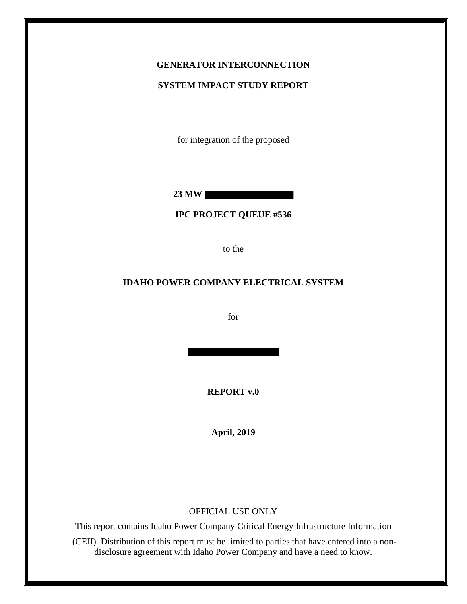## **GENERATOR INTERCONNECTION**

#### **SYSTEM IMPACT STUDY REPORT**

for integration of the proposed

**23 MW**

**IPC PROJECT QUEUE #536**

to the

#### **IDAHO POWER COMPANY ELECTRICAL SYSTEM**

for

**REPORT v.0**

**April, 2019**

#### OFFICIAL USE ONLY

This report contains Idaho Power Company Critical Energy Infrastructure Information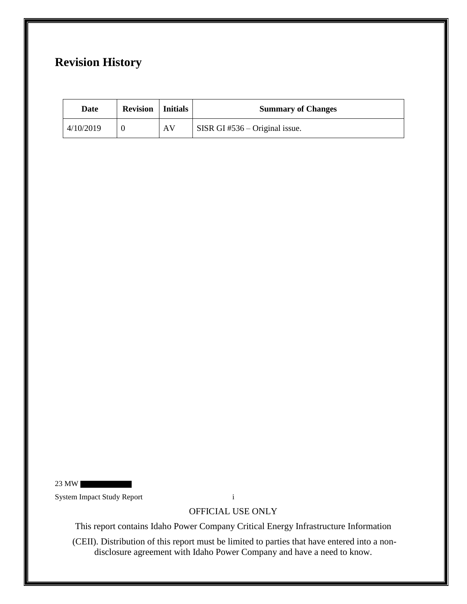# **Revision History**

| Date      | <b>Revision</b>   Initials |    | <b>Summary of Changes</b>        |
|-----------|----------------------------|----|----------------------------------|
| 4/10/2019 |                            | AV | SISR GI $#536 -$ Original issue. |

23 MW

System Impact Study Report i

OFFICIAL USE ONLY

This report contains Idaho Power Company Critical Energy Infrastructure Information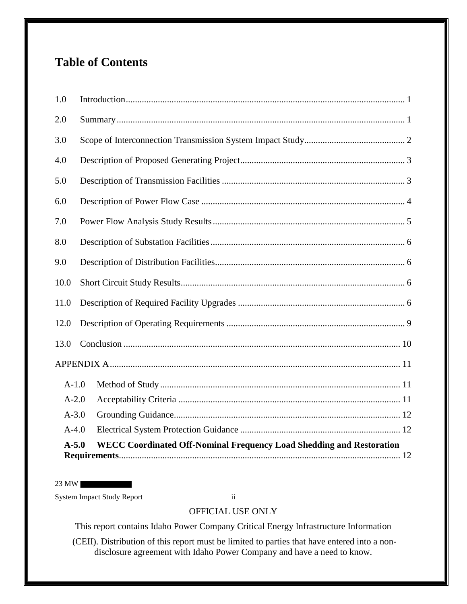# **Table of Contents**

| 1.0     |                                                                             |
|---------|-----------------------------------------------------------------------------|
| 2.0     |                                                                             |
| 3.0     |                                                                             |
| 4.0     |                                                                             |
| 5.0     |                                                                             |
| 6.0     |                                                                             |
| 7.0     |                                                                             |
| 8.0     |                                                                             |
| 9.0     |                                                                             |
| 10.0    |                                                                             |
| 11.0    |                                                                             |
| 12.0    |                                                                             |
| 13.0    |                                                                             |
|         |                                                                             |
| $A-1.0$ |                                                                             |
| $A-2.0$ |                                                                             |
| $A-3.0$ |                                                                             |
| $A-4.0$ |                                                                             |
| $A-5.0$ | <b>WECC Coordinated Off-Nominal Frequency Load Shedding and Restoration</b> |

23 MW

System Impact Study Report ii

### OFFICIAL USE ONLY

This report contains Idaho Power Company Critical Energy Infrastructure Information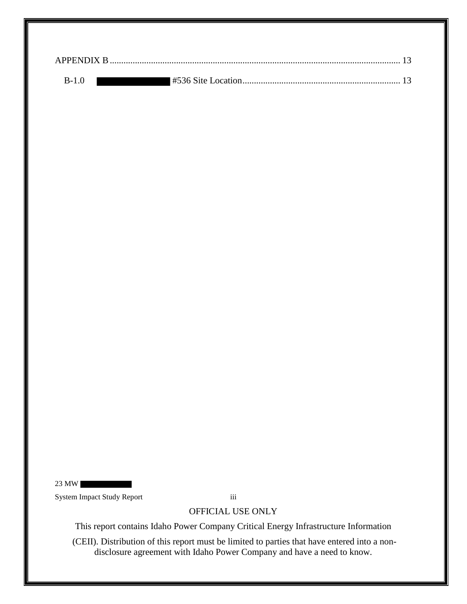| $R-1$ 0 |  |
|---------|--|

23 MW

System Impact Study Report iii

OFFICIAL USE ONLY

This report contains Idaho Power Company Critical Energy Infrastructure Information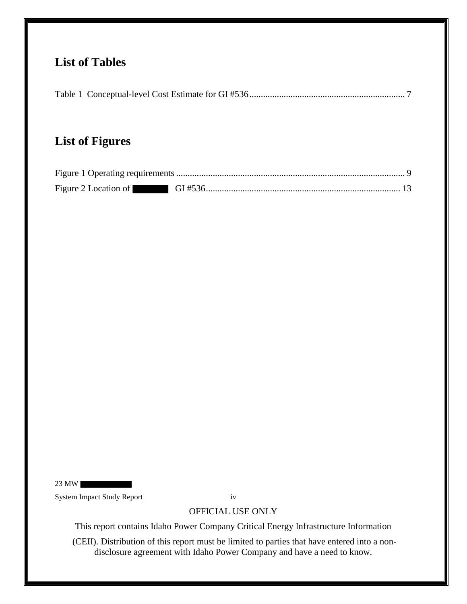# **List of Tables**

|--|--|--|

# **List of Figures**

23 MW

System Impact Study Report iv

## OFFICIAL USE ONLY

This report contains Idaho Power Company Critical Energy Infrastructure Information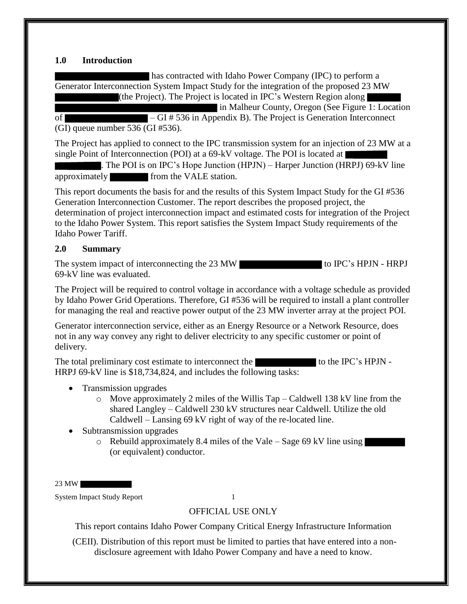#### **1.0 Introduction**

has contracted with Idaho Power Company (IPC) to perform a Generator Interconnection System Impact Study for the integration of the proposed 23 MW (the Project). The Project is located in IPC's Western Region along in Malheur County, Oregon (See Figure 1: Location

of – GI # 536 in Appendix B). The Project is Generation Interconnect (GI) queue number 536 (GI #536).

The Project has applied to connect to the IPC transmission system for an injection of 23 MW at a single Point of Interconnection (POI) at a 69-kV voltage. The POI is located at

. The POI is on IPC's Hope Junction (HPJN) – Harper Junction (HRPJ) 69-kV line approximately from the VALE station.

This report documents the basis for and the results of this System Impact Study for the GI #536 Generation Interconnection Customer. The report describes the proposed project, the determination of project interconnection impact and estimated costs for integration of the Project to the Idaho Power System. This report satisfies the System Impact Study requirements of the Idaho Power Tariff.

#### **2.0 Summary**

The system impact of interconnecting the 23 MW 69-kV line was evaluated.

The Project will be required to control voltage in accordance with a voltage schedule as provided by Idaho Power Grid Operations. Therefore, GI #536 will be required to install a plant controller for managing the real and reactive power output of the 23 MW inverter array at the project POI.

Generator interconnection service, either as an Energy Resource or a Network Resource, does not in any way convey any right to deliver electricity to any specific customer or point of delivery.

The total preliminary cost estimate to interconnect the to the IPC's HPJN -HRPJ 69-kV line is \$18,734,824, and includes the following tasks:

- Transmission upgrades
	- o Move approximately 2 miles of the Willis Tap Caldwell 138 kV line from the shared Langley – Caldwell 230 kV structures near Caldwell. Utilize the old Caldwell – Lansing 69 kV right of way of the re-located line.
- Subtransmission upgrades
	- $\circ$  Rebuild approximately 8.4 miles of the Vale Sage 69 kV line using (or equivalent) conductor.

23 MW

System Impact Study Report 1

### OFFICIAL USE ONLY

This report contains Idaho Power Company Critical Energy Infrastructure Information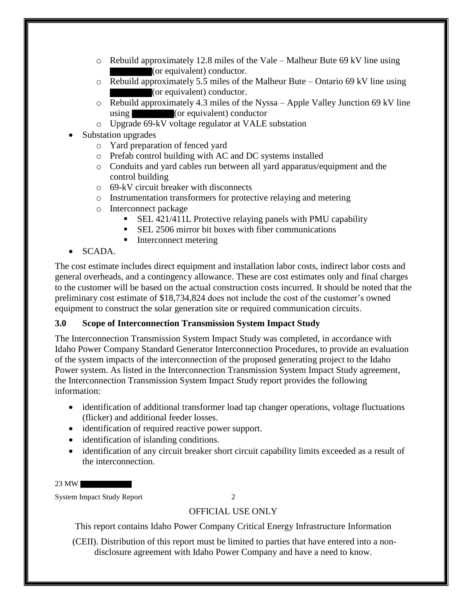- $\circ$  Rebuild approximately 12.8 miles of the Vale Malheur Bute 69 kV line using (or equivalent) conductor.
- o Rebuild approximately 5.5 miles of the Malheur Bute Ontario 69 kV line using (or equivalent) conductor.
- o Rebuild approximately 4.3 miles of the Nyssa Apple Valley Junction 69 kV line using (or equivalent) conductor
- o Upgrade 69-kV voltage regulator at VALE substation
- Substation upgrades
	- o Yard preparation of fenced yard
	- o Prefab control building with AC and DC systems installed
	- o Conduits and yard cables run between all yard apparatus/equipment and the control building
	- o 69-kV circuit breaker with disconnects
	- o Instrumentation transformers for protective relaying and metering
	- o Interconnect package
		- SEL 421/411L Protective relaying panels with PMU capability
		- SEL 2506 mirror bit boxes with fiber communications
		- Interconnect metering

#### • SCADA.

The cost estimate includes direct equipment and installation labor costs, indirect labor costs and general overheads, and a contingency allowance. These are cost estimates only and final charges to the customer will be based on the actual construction costs incurred. It should be noted that the preliminary cost estimate of \$18,734,824 does not include the cost of the customer's owned equipment to construct the solar generation site or required communication circuits.

#### **3.0 Scope of Interconnection Transmission System Impact Study**

The Interconnection Transmission System Impact Study was completed, in accordance with Idaho Power Company Standard Generator Interconnection Procedures, to provide an evaluation of the system impacts of the interconnection of the proposed generating project to the Idaho Power system. As listed in the Interconnection Transmission System Impact Study agreement, the Interconnection Transmission System Impact Study report provides the following information:

- identification of additional transformer load tap changer operations, voltage fluctuations (flicker) and additional feeder losses.
- identification of required reactive power support.
- identification of islanding conditions.
- identification of any circuit breaker short circuit capability limits exceeded as a result of the interconnection.

23 MW

System Impact Study Report 2

### OFFICIAL USE ONLY

This report contains Idaho Power Company Critical Energy Infrastructure Information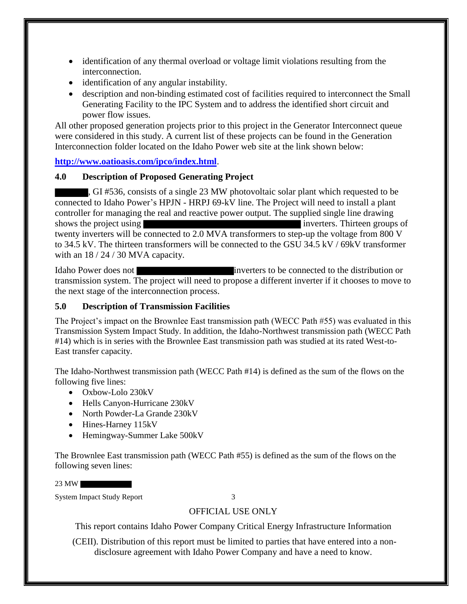- identification of any thermal overload or voltage limit violations resulting from the interconnection.
- identification of any angular instability.
- description and non-binding estimated cost of facilities required to interconnect the Small Generating Facility to the IPC System and to address the identified short circuit and power flow issues.

All other proposed generation projects prior to this project in the Generator Interconnect queue were considered in this study. A current list of these projects can be found in the Generation Interconnection folder located on the Idaho Power web site at the link shown below:

**http://www.oatioasis.com/ipco/index.html**.

#### **4.0 Description of Proposed Generating Project**

, GI #536, consists of a single 23 MW photovoltaic solar plant which requested to be connected to Idaho Power's HPJN - HRPJ 69-kV line. The Project will need to install a plant controller for managing the real and reactive power output. The supplied single line drawing shows the project using **inverters**. Thirteen groups of twenty inverters will be connected to 2.0 MVA transformers to step-up the voltage from 800 V to 34.5 kV. The thirteen transformers will be connected to the GSU 34.5 kV / 69kV transformer with an  $18 / 24 / 30$  MVA capacity.

Idaho Power does not inverters to be connected to the distribution or transmission system. The project will need to propose a different inverter if it chooses to move to the next stage of the interconnection process.

#### **5.0 Description of Transmission Facilities**

The Project's impact on the Brownlee East transmission path (WECC Path #55) was evaluated in this Transmission System Impact Study. In addition, the Idaho-Northwest transmission path (WECC Path #14) which is in series with the Brownlee East transmission path was studied at its rated West-to-East transfer capacity.

The Idaho-Northwest transmission path (WECC Path #14) is defined as the sum of the flows on the following five lines:

- Oxbow-Lolo 230kV
- Hells Canyon-Hurricane 230kV
- North Powder-La Grande 230kV
- Hines-Harney 115kV
- Hemingway-Summer Lake 500kV

The Brownlee East transmission path (WECC Path #55) is defined as the sum of the flows on the following seven lines:

23 MW

System Impact Study Report 3

### OFFICIAL USE ONLY

This report contains Idaho Power Company Critical Energy Infrastructure Information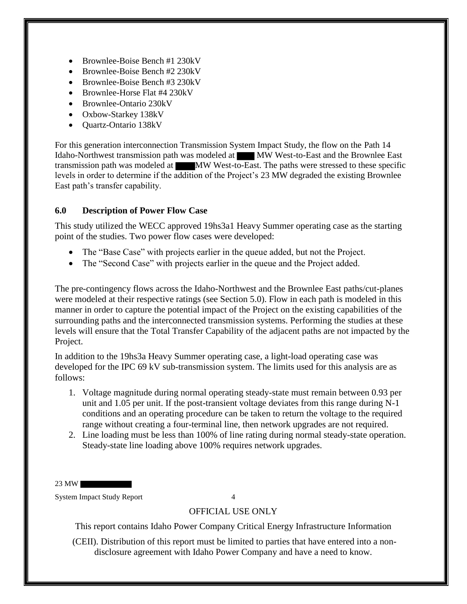- Brownlee-Boise Bench #1 230kV
- Brownlee-Boise Bench #2 230kV
- Brownlee-Boise Bench #3 230kV
- Brownlee-Horse Flat #4 230kV
- Brownlee-Ontario 230kV
- Oxbow-Starkey 138kV
- Quartz-Ontario 138kV

For this generation interconnection Transmission System Impact Study, the flow on the Path 14 Idaho-Northwest transmission path was modeled at MW West-to-East and the Brownlee East transmission path was modeled at MW West-to-East. The paths were stressed to these specific levels in order to determine if the addition of the Project's 23 MW degraded the existing Brownlee East path's transfer capability.

#### **6.0 Description of Power Flow Case**

This study utilized the WECC approved 19hs3a1 Heavy Summer operating case as the starting point of the studies. Two power flow cases were developed:

- The "Base Case" with projects earlier in the queue added, but not the Project.
- The "Second Case" with projects earlier in the queue and the Project added.

The pre-contingency flows across the Idaho-Northwest and the Brownlee East paths/cut-planes were modeled at their respective ratings (see Section 5.0). Flow in each path is modeled in this manner in order to capture the potential impact of the Project on the existing capabilities of the surrounding paths and the interconnected transmission systems. Performing the studies at these levels will ensure that the Total Transfer Capability of the adjacent paths are not impacted by the Project.

In addition to the 19hs3a Heavy Summer operating case, a light-load operating case was developed for the IPC 69 kV sub-transmission system. The limits used for this analysis are as follows:

- 1. Voltage magnitude during normal operating steady-state must remain between 0.93 per unit and 1.05 per unit. If the post-transient voltage deviates from this range during N-1 conditions and an operating procedure can be taken to return the voltage to the required range without creating a four-terminal line, then network upgrades are not required.
- 2. Line loading must be less than 100% of line rating during normal steady-state operation. Steady-state line loading above 100% requires network upgrades.

23 MW

System Impact Study Report 4

#### OFFICIAL USE ONLY

This report contains Idaho Power Company Critical Energy Infrastructure Information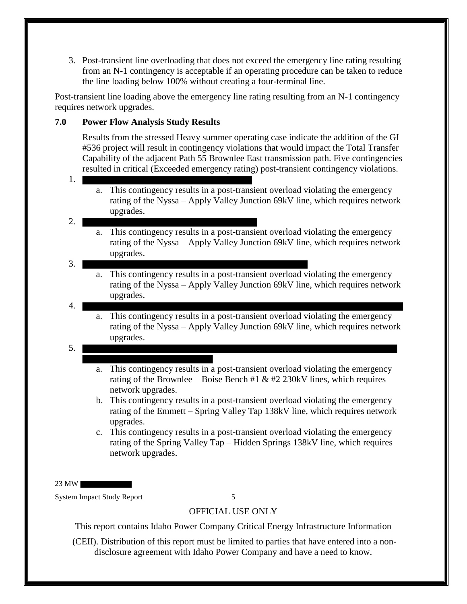3. Post-transient line overloading that does not exceed the emergency line rating resulting from an N-1 contingency is acceptable if an operating procedure can be taken to reduce the line loading below 100% without creating a four-terminal line.

Post-transient line loading above the emergency line rating resulting from an N-1 contingency requires network upgrades.

#### **7.0 Power Flow Analysis Study Results**

Results from the stressed Heavy summer operating case indicate the addition of the GI #536 project will result in contingency violations that would impact the Total Transfer Capability of the adjacent Path 55 Brownlee East transmission path. Five contingencies resulted in critical (Exceeded emergency rating) post-transient contingency violations.

- 1.
	- a. This contingency results in a post-transient overload violating the emergency rating of the Nyssa – Apply Valley Junction 69kV line, which requires network upgrades.

#### 2.

a. This contingency results in a post-transient overload violating the emergency rating of the Nyssa – Apply Valley Junction 69kV line, which requires network upgrades.

#### 3.

- a. This contingency results in a post-transient overload violating the emergency rating of the Nyssa – Apply Valley Junction 69kV line, which requires network upgrades.
- 4.
- a. This contingency results in a post-transient overload violating the emergency rating of the Nyssa – Apply Valley Junction 69kV line, which requires network upgrades.
- 5.
- a. This contingency results in a post-transient overload violating the emergency rating of the Brownlee – Boise Bench #1  $&$  #2 230kV lines, which requires network upgrades.
- b. This contingency results in a post-transient overload violating the emergency rating of the Emmett – Spring Valley Tap 138kV line, which requires network upgrades.
- c. This contingency results in a post-transient overload violating the emergency rating of the Spring Valley Tap – Hidden Springs 138kV line, which requires network upgrades.

23 MW

System Impact Study Report 5

#### OFFICIAL USE ONLY

This report contains Idaho Power Company Critical Energy Infrastructure Information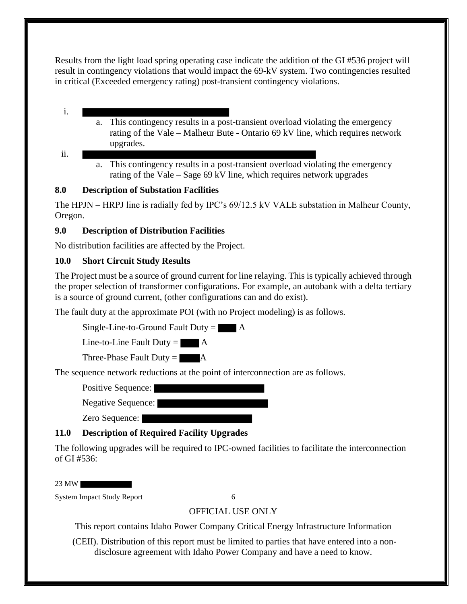Results from the light load spring operating case indicate the addition of the GI #536 project will result in contingency violations that would impact the 69-kV system. Two contingencies resulted in critical (Exceeded emergency rating) post-transient contingency violations.

- i.
- 
- a. This contingency results in a post-transient overload violating the emergency rating of the Vale – Malheur Bute - Ontario 69 kV line, which requires network upgrades.
- ii.
- a. This contingency results in a post-transient overload violating the emergency rating of the Vale – Sage 69 kV line, which requires network upgrades

#### **8.0 Description of Substation Facilities**

The HPJN – HRPJ line is radially fed by IPC's 69/12.5 kV VALE substation in Malheur County, Oregon.

### **9.0 Description of Distribution Facilities**

No distribution facilities are affected by the Project.

### **10.0 Short Circuit Study Results**

The Project must be a source of ground current for line relaying. This is typically achieved through the proper selection of transformer configurations. For example, an autobank with a delta tertiary is a source of ground current, (other configurations can and do exist).

The fault duty at the approximate POI (with no Project modeling) is as follows.

Single-Line-to-Ground Fault Duty  $=$   $\blacksquare$  A

Line-to-Line Fault Duty  $=$   $\blacksquare$  A

Three-Phase Fault Duty  $=$   $\blacksquare$  A

The sequence network reductions at the point of interconnection are as follows.

Positive Sequence:

Negative Sequence:

Zero Sequence:

## **11.0 Description of Required Facility Upgrades**

The following upgrades will be required to IPC-owned facilities to facilitate the interconnection of GI #536:

23 MW

System Impact Study Report 6

## OFFICIAL USE ONLY

This report contains Idaho Power Company Critical Energy Infrastructure Information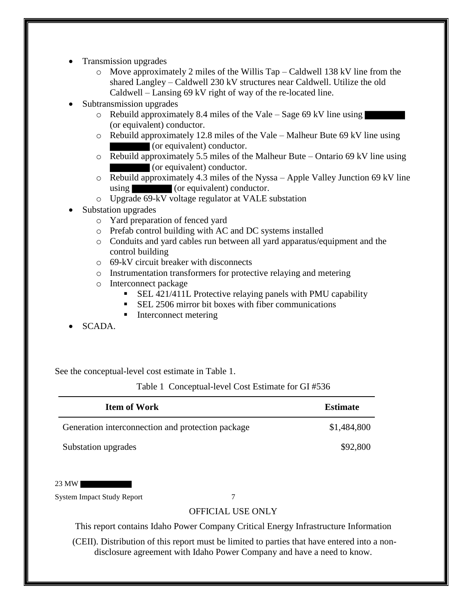- Transmission upgrades
	- o Move approximately 2 miles of the Willis Tap Caldwell 138 kV line from the shared Langley – Caldwell 230 kV structures near Caldwell. Utilize the old Caldwell – Lansing 69 kV right of way of the re-located line.
- Subtransmission upgrades
	- $\circ$  Rebuild approximately 8.4 miles of the Vale Sage 69 kV line using (or equivalent) conductor.
	- o Rebuild approximately 12.8 miles of the Vale Malheur Bute 69 kV line using (or equivalent) conductor.
	- o Rebuild approximately 5.5 miles of the Malheur Bute Ontario 69 kV line using (or equivalent) conductor.
	- o Rebuild approximately 4.3 miles of the Nyssa Apple Valley Junction 69 kV line using (or equivalent) conductor.
	- o Upgrade 69-kV voltage regulator at VALE substation
- Substation upgrades
	- o Yard preparation of fenced yard
	- o Prefab control building with AC and DC systems installed
	- o Conduits and yard cables run between all yard apparatus/equipment and the control building
	- o 69-kV circuit breaker with disconnects
	- o Instrumentation transformers for protective relaying and metering
	- o Interconnect package
		- SEL 421/411L Protective relaying panels with PMU capability
		- SEL 2506 mirror bit boxes with fiber communications
		- Interconnect metering
- SCADA.

See the conceptual-level cost estimate in Table 1.

Table 1 Conceptual-level Cost Estimate for GI #536

| Item of Work                                      | <b>Estimate</b> |
|---------------------------------------------------|-----------------|
| Generation interconnection and protection package | \$1,484,800     |
| Substation upgrades                               | \$92,800        |

23 MW

System Impact Study Report 7

#### OFFICIAL USE ONLY

This report contains Idaho Power Company Critical Energy Infrastructure Information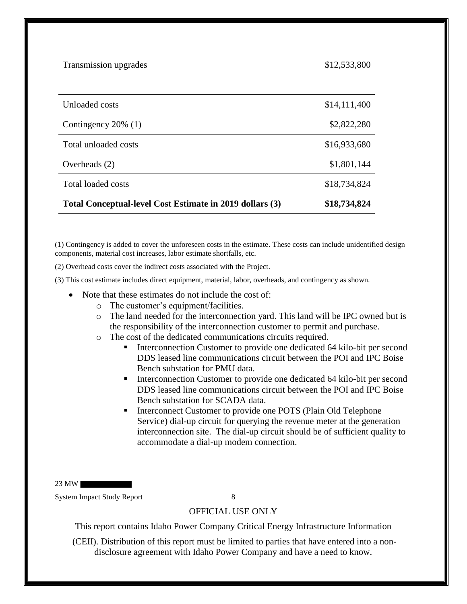| Transmission upgrades                                    | \$12,533,800 |
|----------------------------------------------------------|--------------|
|                                                          |              |
| Unloaded costs                                           | \$14,111,400 |
| Contingency $20\%$ (1)                                   | \$2,822,280  |
| Total unloaded costs                                     | \$16,933,680 |
| Overheads (2)                                            | \$1,801,144  |
| Total loaded costs                                       | \$18,734,824 |
| Total Conceptual-level Cost Estimate in 2019 dollars (3) | \$18,734,824 |

(1) Contingency is added to cover the unforeseen costs in the estimate. These costs can include unidentified design components, material cost increases, labor estimate shortfalls, etc.

(2) Overhead costs cover the indirect costs associated with the Project.

(3) This cost estimate includes direct equipment, material, labor, overheads, and contingency as shown.

- Note that these estimates do not include the cost of:
	- o The customer's equipment/facilities.
	- o The land needed for the interconnection yard. This land will be IPC owned but is the responsibility of the interconnection customer to permit and purchase.
	- o The cost of the dedicated communications circuits required.
		- Interconnection Customer to provide one dedicated 64 kilo-bit per second DDS leased line communications circuit between the POI and IPC Boise Bench substation for PMU data.
		- Interconnection Customer to provide one dedicated 64 kilo-bit per second DDS leased line communications circuit between the POI and IPC Boise Bench substation for SCADA data.
		- Interconnect Customer to provide one POTS (Plain Old Telephone Service) dial-up circuit for querying the revenue meter at the generation interconnection site. The dial-up circuit should be of sufficient quality to accommodate a dial-up modem connection.

23 MW

System Impact Study Report 8

#### OFFICIAL USE ONLY

This report contains Idaho Power Company Critical Energy Infrastructure Information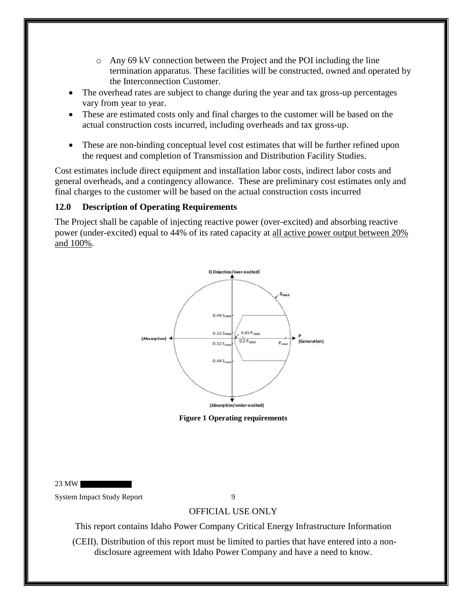- o Any 69 kV connection between the Project and the POI including the line termination apparatus. These facilities will be constructed, owned and operated by the Interconnection Customer.
- The overhead rates are subject to change during the year and tax gross-up percentages vary from year to year.
- These are estimated costs only and final charges to the customer will be based on the actual construction costs incurred, including overheads and tax gross-up.
- These are non-binding conceptual level cost estimates that will be further refined upon the request and completion of Transmission and Distribution Facility Studies.

Cost estimates include direct equipment and installation labor costs, indirect labor costs and general overheads, and a contingency allowance. These are preliminary cost estimates only and final charges to the customer will be based on the actual construction costs incurred

#### **12.0 Description of Operating Requirements**

The Project shall be capable of injecting reactive power (over-excited) and absorbing reactive power (under-excited) equal to 44% of its rated capacity at all active power output between 20% and 100%.



**Figure 1 Operating requirements**

23 MW

System Impact Study Report 9

#### OFFICIAL USE ONLY

This report contains Idaho Power Company Critical Energy Infrastructure Information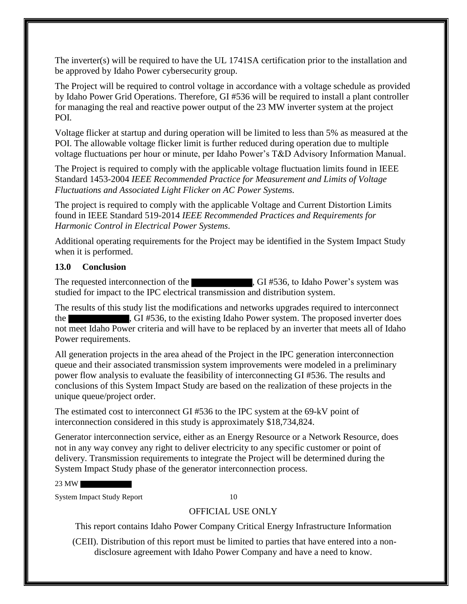The inverter(s) will be required to have the UL 1741SA certification prior to the installation and be approved by Idaho Power cybersecurity group.

The Project will be required to control voltage in accordance with a voltage schedule as provided by Idaho Power Grid Operations. Therefore, GI #536 will be required to install a plant controller for managing the real and reactive power output of the 23 MW inverter system at the project POI.

Voltage flicker at startup and during operation will be limited to less than 5% as measured at the POI. The allowable voltage flicker limit is further reduced during operation due to multiple voltage fluctuations per hour or minute, per Idaho Power's T&D Advisory Information Manual.

The Project is required to comply with the applicable voltage fluctuation limits found in IEEE Standard 1453-2004 *IEEE Recommended Practice for Measurement and Limits of Voltage Fluctuations and Associated Light Flicker on AC Power Systems.* 

The project is required to comply with the applicable Voltage and Current Distortion Limits found in IEEE Standard 519-2014 *IEEE Recommended Practices and Requirements for Harmonic Control in Electrical Power Systems*.

Additional operating requirements for the Project may be identified in the System Impact Study when it is performed.

#### **13.0 Conclusion**

The requested interconnection of the  $\overline{G}$ , GI #536, to Idaho Power's system was studied for impact to the IPC electrical transmission and distribution system.

The results of this study list the modifications and networks upgrades required to interconnect the GI #536, to the existing Idaho Power system. The proposed inverter does not meet Idaho Power criteria and will have to be replaced by an inverter that meets all of Idaho Power requirements.

All generation projects in the area ahead of the Project in the IPC generation interconnection queue and their associated transmission system improvements were modeled in a preliminary power flow analysis to evaluate the feasibility of interconnecting GI #536. The results and conclusions of this System Impact Study are based on the realization of these projects in the unique queue/project order.

The estimated cost to interconnect GI #536 to the IPC system at the 69-kV point of interconnection considered in this study is approximately \$18,734,824.

Generator interconnection service, either as an Energy Resource or a Network Resource, does not in any way convey any right to deliver electricity to any specific customer or point of delivery. Transmission requirements to integrate the Project will be determined during the System Impact Study phase of the generator interconnection process.

23 MW

System Impact Study Report 10

### OFFICIAL USE ONLY

This report contains Idaho Power Company Critical Energy Infrastructure Information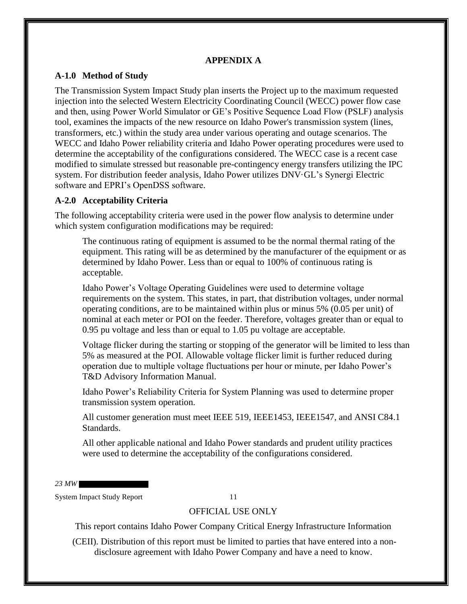#### **APPENDIX A**

#### **A-1.0 Method of Study**

The Transmission System Impact Study plan inserts the Project up to the maximum requested injection into the selected Western Electricity Coordinating Council (WECC) power flow case and then, using Power World Simulator or GE's Positive Sequence Load Flow (PSLF) analysis tool, examines the impacts of the new resource on Idaho Power's transmission system (lines, transformers, etc.) within the study area under various operating and outage scenarios. The WECC and Idaho Power reliability criteria and Idaho Power operating procedures were used to determine the acceptability of the configurations considered. The WECC case is a recent case modified to simulate stressed but reasonable pre-contingency energy transfers utilizing the IPC system. For distribution feeder analysis, Idaho Power utilizes DNV·GL's Synergi Electric software and EPRI's OpenDSS software.

#### **A-2.0 Acceptability Criteria**

The following acceptability criteria were used in the power flow analysis to determine under which system configuration modifications may be required:

The continuous rating of equipment is assumed to be the normal thermal rating of the equipment. This rating will be as determined by the manufacturer of the equipment or as determined by Idaho Power. Less than or equal to 100% of continuous rating is acceptable.

Idaho Power's Voltage Operating Guidelines were used to determine voltage requirements on the system. This states, in part, that distribution voltages, under normal operating conditions, are to be maintained within plus or minus 5% (0.05 per unit) of nominal at each meter or POI on the feeder. Therefore, voltages greater than or equal to 0.95 pu voltage and less than or equal to 1.05 pu voltage are acceptable.

Voltage flicker during the starting or stopping of the generator will be limited to less than 5% as measured at the POI. Allowable voltage flicker limit is further reduced during operation due to multiple voltage fluctuations per hour or minute, per Idaho Power's T&D Advisory Information Manual.

Idaho Power's Reliability Criteria for System Planning was used to determine proper transmission system operation.

All customer generation must meet IEEE 519, IEEE1453, IEEE1547, and ANSI C84.1 Standards.

All other applicable national and Idaho Power standards and prudent utility practices were used to determine the acceptability of the configurations considered.

*23 MW*

System Impact Study Report 11

#### OFFICIAL USE ONLY

This report contains Idaho Power Company Critical Energy Infrastructure Information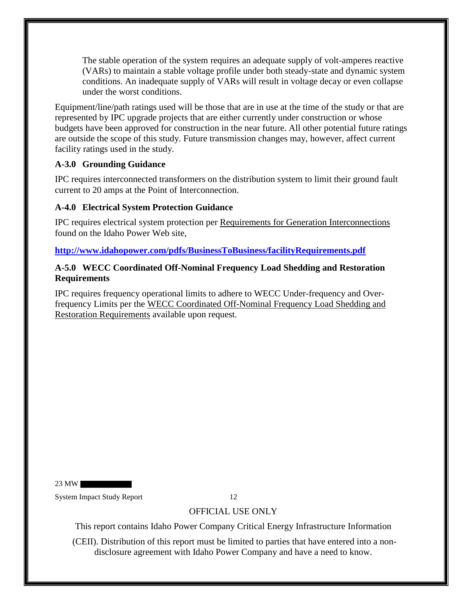The stable operation of the system requires an adequate supply of volt-amperes reactive (VARs) to maintain a stable voltage profile under both steady-state and dynamic system conditions. An inadequate supply of VARs will result in voltage decay or even collapse under the worst conditions.

Equipment/line/path ratings used will be those that are in use at the time of the study or that are represented by IPC upgrade projects that are either currently under construction or whose budgets have been approved for construction in the near future. All other potential future ratings are outside the scope of this study. Future transmission changes may, however, affect current facility ratings used in the study.

#### **A-3.0 Grounding Guidance**

IPC requires interconnected transformers on the distribution system to limit their ground fault current to 20 amps at the Point of Interconnection.

#### **A-4.0 Electrical System Protection Guidance**

IPC requires electrical system protection per Requirements for Generation Interconnections found on the Idaho Power Web site,

**http://www.idahopower.com/pdfs/BusinessToBusiness/facilityRequirements.pdf**

#### **A-5.0 WECC Coordinated Off-Nominal Frequency Load Shedding and Restoration Requirements**

IPC requires frequency operational limits to adhere to WECC Under-frequency and Overfrequency Limits per the WECC Coordinated Off-Nominal Frequency Load Shedding and Restoration Requirements available upon request.

23 MW

System Impact Study Report 12

### OFFICIAL USE ONLY

This report contains Idaho Power Company Critical Energy Infrastructure Information